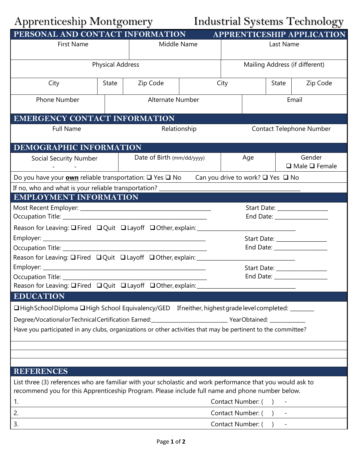## Apprenticeship Montgomery Industrial Systems Technology

| PERSONAL AND CONTACT INFORMATION                                                                                                                                                                              |       |                            |                   | APPRENTICESHIP APPLICATION      |                                     |       |          |
|---------------------------------------------------------------------------------------------------------------------------------------------------------------------------------------------------------------|-------|----------------------------|-------------------|---------------------------------|-------------------------------------|-------|----------|
| <b>First Name</b>                                                                                                                                                                                             |       | Middle Name                |                   | Last Name                       |                                     |       |          |
| <b>Physical Address</b>                                                                                                                                                                                       |       |                            |                   | Mailing Address (if different)  |                                     |       |          |
| City                                                                                                                                                                                                          | State | Zip Code                   |                   | City                            |                                     | State | Zip Code |
| <b>Phone Number</b>                                                                                                                                                                                           |       | Alternate Number           |                   |                                 |                                     | Email |          |
| <b>EMERGENCY CONTACT INFORMATION</b>                                                                                                                                                                          |       |                            |                   |                                 |                                     |       |          |
| <b>Full Name</b>                                                                                                                                                                                              |       | Relationship               |                   | <b>Contact Telephone Number</b> |                                     |       |          |
| DEMOGRAPHIC INFORMATION                                                                                                                                                                                       |       |                            |                   |                                 |                                     |       |          |
| <b>Social Security Number</b>                                                                                                                                                                                 |       | Date of Birth (mm/dd/yyyy) | Age               |                                 | Gender<br>$\Box$ Male $\Box$ Female |       |          |
| Do you have your <b>own</b> reliable transportation: □ Yes □ No<br>Can you drive to work? $\Box$ Yes $\Box$ No                                                                                                |       |                            |                   |                                 |                                     |       |          |
|                                                                                                                                                                                                               |       |                            |                   |                                 |                                     |       |          |
| <b>EMPLOYMENT INFORMATION</b>                                                                                                                                                                                 |       |                            |                   |                                 |                                     |       |          |
|                                                                                                                                                                                                               |       |                            |                   | Start Date: _________________   |                                     |       |          |
|                                                                                                                                                                                                               |       |                            |                   |                                 |                                     |       |          |
| Reason for Leaving: $\Box$ Fired $\Box$ Quit $\Box$ Layoff $\Box$ Other, explain: ____                                                                                                                        |       |                            |                   |                                 |                                     |       |          |
|                                                                                                                                                                                                               |       |                            |                   | Start Date: _________________   |                                     |       |          |
|                                                                                                                                                                                                               |       |                            |                   |                                 |                                     |       |          |
| Reason for Leaving: <b>Q</b> Fired Q Quit Q Layoff Q Other, explain: _____                                                                                                                                    |       |                            |                   |                                 |                                     |       |          |
|                                                                                                                                                                                                               |       |                            |                   |                                 |                                     |       |          |
| Occupation Title: ________                                                                                                                                                                                    |       |                            |                   |                                 |                                     |       |          |
| Reason for Leaving: <b>Q</b> Fired Quit Q Layoff Q Other, explain:                                                                                                                                            |       |                            |                   |                                 |                                     |       |          |
| <b>EDUCATION</b>                                                                                                                                                                                              |       |                            |                   |                                 |                                     |       |          |
| □High School Diploma □High School Equivalency/GED If neither, highest grade level completed: ____                                                                                                             |       |                            |                   |                                 |                                     |       |          |
| Degree/VocationalorTechnicalCertification Earned: ____________________________YearObtained: ______________                                                                                                    |       |                            |                   |                                 |                                     |       |          |
| Have you participated in any clubs, organizations or other activities that may be pertinent to the committee?                                                                                                 |       |                            |                   |                                 |                                     |       |          |
|                                                                                                                                                                                                               |       |                            |                   |                                 |                                     |       |          |
|                                                                                                                                                                                                               |       |                            |                   |                                 |                                     |       |          |
|                                                                                                                                                                                                               |       |                            |                   |                                 |                                     |       |          |
| <b>REFERENCES</b>                                                                                                                                                                                             |       |                            |                   |                                 |                                     |       |          |
| List three (3) references who are familiar with your scholastic and work performance that you would ask to<br>recommend you for this Apprenticeship Program. Please include full name and phone number below. |       |                            |                   |                                 |                                     |       |          |
| 1.                                                                                                                                                                                                            |       |                            | Contact Number: ( |                                 |                                     |       |          |
| 2.<br>Contact Number: (                                                                                                                                                                                       |       |                            |                   |                                 |                                     |       |          |
| 3.<br>Contact Number: (                                                                                                                                                                                       |       |                            |                   |                                 |                                     |       |          |
|                                                                                                                                                                                                               |       |                            |                   |                                 |                                     |       |          |